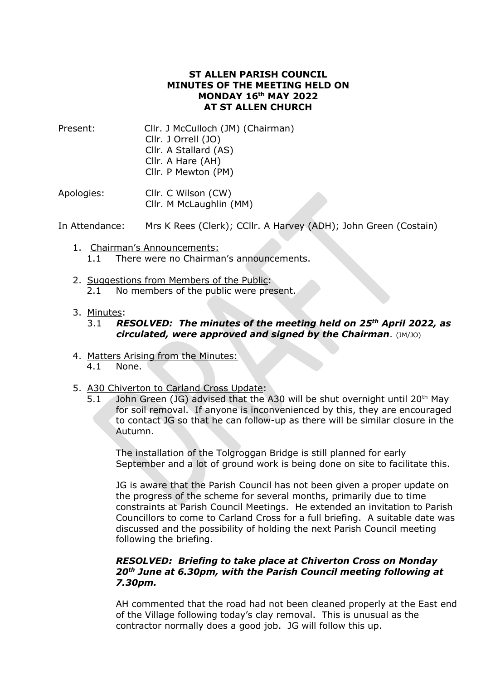# **ST ALLEN PARISH COUNCIL MINUTES OF THE MEETING HELD ON MONDAY 16th MAY 2022 AT ST ALLEN CHURCH**

| Present: | Cllr. J McCulloch (JM) (Chairman) |
|----------|-----------------------------------|
|          | Cllr. J Orrell (JO)               |
|          | Cllr. A Stallard (AS)             |
|          | Cllr. A Hare (AH)                 |
|          | Cllr. P Mewton (PM)               |
|          |                                   |

Apologies: Cllr. C Wilson (CW) Cllr. M McLaughlin (MM)

In Attendance: Mrs K Rees (Clerk); CCllr. A Harvey (ADH); John Green (Costain)

- 1. Chairman's Announcements: 1.1 There were no Chairman's announcements.
- 2. Suggestions from Members of the Public: 2.1 No members of the public were present.
- 3. Minutes:

# 3.1 *RESOLVED: The minutes of the meeting held on 25 th April 2022, as circulated, were approved and signed by the Chairman*. (JM/JO)

- 4. Matters Arising from the Minutes: 4.1 None.
- 5. A30 Chiverton to Carland Cross Update:
	- 5.1 John Green (JG) advised that the A30 will be shut overnight until 20<sup>th</sup> May for soil removal. If anyone is inconvenienced by this, they are encouraged to contact JG so that he can follow-up as there will be similar closure in the Autumn.

The installation of the Tolgroggan Bridge is still planned for early September and a lot of ground work is being done on site to facilitate this.

JG is aware that the Parish Council has not been given a proper update on the progress of the scheme for several months, primarily due to time constraints at Parish Council Meetings. He extended an invitation to Parish Councillors to come to Carland Cross for a full briefing. A suitable date was discussed and the possibility of holding the next Parish Council meeting following the briefing.

## *RESOLVED: Briefing to take place at Chiverton Cross on Monday 20th June at 6.30pm, with the Parish Council meeting following at 7.30pm.*

AH commented that the road had not been cleaned properly at the East end of the Village following today's clay removal. This is unusual as the contractor normally does a good job. JG will follow this up.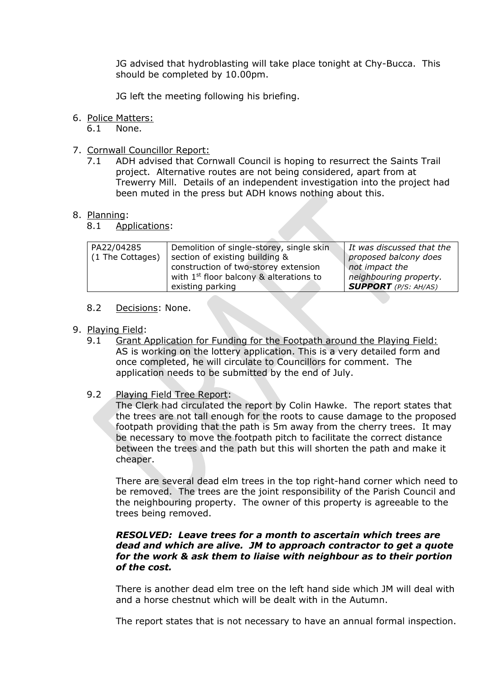JG advised that hydroblasting will take place tonight at Chy-Bucca. This should be completed by 10.00pm.

JG left the meeting following his briefing.

# 6. Police Matters:

6.1 None.

- 7. Cornwall Councillor Report:
	- 7.1 ADH advised that Cornwall Council is hoping to resurrect the Saints Trail project. Alternative routes are not being considered, apart from at Trewerry Mill. Details of an independent investigation into the project had been muted in the press but ADH knows nothing about this.

#### 8. Planning:

8.1 Applications:

| PA22/04285       | Demolition of single-storey, single skin  | It was discussed that the   |
|------------------|-------------------------------------------|-----------------------------|
|                  |                                           |                             |
| (1 The Cottages) | section of existing building &            | proposed balcony does       |
|                  | construction of two-storey extension      | not impact the              |
|                  | with $1st$ floor balcony & alterations to | neighbouring property.      |
|                  | existing parking                          | <b>SUPPORT</b> (P/S: AH/AS) |

## 8.2 Decisions: None.

## 9. Playing Field:

9.1 Grant Application for Funding for the Footpath around the Playing Field: AS is working on the lottery application. This is a very detailed form and once completed, he will circulate to Councillors for comment. The application needs to be submitted by the end of July.

#### 9.2 Playing Field Tree Report:

The Clerk had circulated the report by Colin Hawke. The report states that the trees are not tall enough for the roots to cause damage to the proposed footpath providing that the path is 5m away from the cherry trees. It may be necessary to move the footpath pitch to facilitate the correct distance between the trees and the path but this will shorten the path and make it cheaper.

There are several dead elm trees in the top right-hand corner which need to be removed. The trees are the joint responsibility of the Parish Council and the neighbouring property. The owner of this property is agreeable to the trees being removed.

## *RESOLVED: Leave trees for a month to ascertain which trees are dead and which are alive. JM to approach contractor to get a quote for the work & ask them to liaise with neighbour as to their portion of the cost.*

There is another dead elm tree on the left hand side which JM will deal with and a horse chestnut which will be dealt with in the Autumn.

The report states that is not necessary to have an annual formal inspection.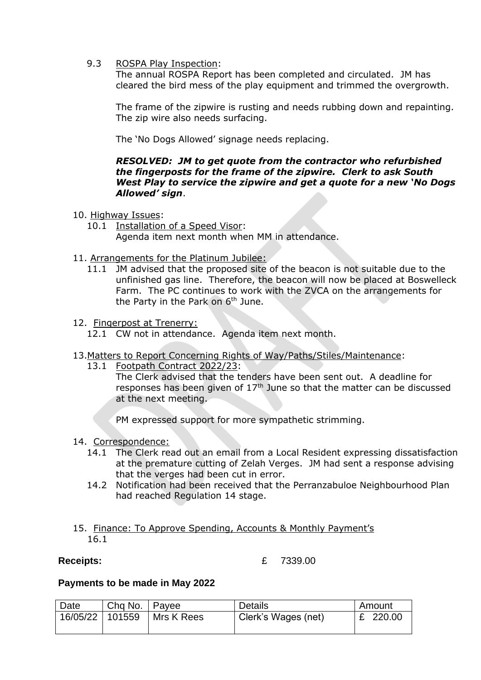9.3 ROSPA Play Inspection:

The annual ROSPA Report has been completed and circulated. JM has cleared the bird mess of the play equipment and trimmed the overgrowth.

The frame of the zipwire is rusting and needs rubbing down and repainting. The zip wire also needs surfacing.

The 'No Dogs Allowed' signage needs replacing.

# *RESOLVED: JM to get quote from the contractor who refurbished the fingerposts for the frame of the zipwire. Clerk to ask South West Play to service the zipwire and get a quote for a new 'No Dogs Allowed' sign*.

- 10. Highway Issues:
	- 10.1 Installation of a Speed Visor: Agenda item next month when MM in attendance.
- 11. Arrangements for the Platinum Jubilee:
	- 11.1 JM advised that the proposed site of the beacon is not suitable due to the unfinished gas line. Therefore, the beacon will now be placed at Boswelleck Farm. The PC continues to work with the ZVCA on the arrangements for the Party in the Park on  $6<sup>th</sup>$  June.
- 12. Fingerpost at Trenerry:
	- 12.1 CW not in attendance. Agenda item next month.
- 13.Matters to Report Concerning Rights of Way/Paths/Stiles/Maintenance:
	- 13.1 Footpath Contract 2022/23:

The Clerk advised that the tenders have been sent out. A deadline for responses has been given of  $17<sup>th</sup>$  June so that the matter can be discussed at the next meeting.

PM expressed support for more sympathetic strimming.

- 14. Correspondence:
	- 14.1 The Clerk read out an email from a Local Resident expressing dissatisfaction at the premature cutting of Zelah Verges. JM had sent a response advising that the verges had been cut in error.
	- 14.2 Notification had been received that the Perranzabuloe Neighbourhood Plan had reached Regulation 14 stage.

# 15. Finance: To Approve Spending, Accounts & Monthly Payment's 16.1

**Receipts:** £ 7339.00

#### **Payments to be made in May 2022**

| Date            | Chg No.   Payee |              | <b>Details</b>      | Amount |
|-----------------|-----------------|--------------|---------------------|--------|
| 16/05/22 101559 |                 | J Mrs K Rees | Clerk's Wages (net) | 220.00 |